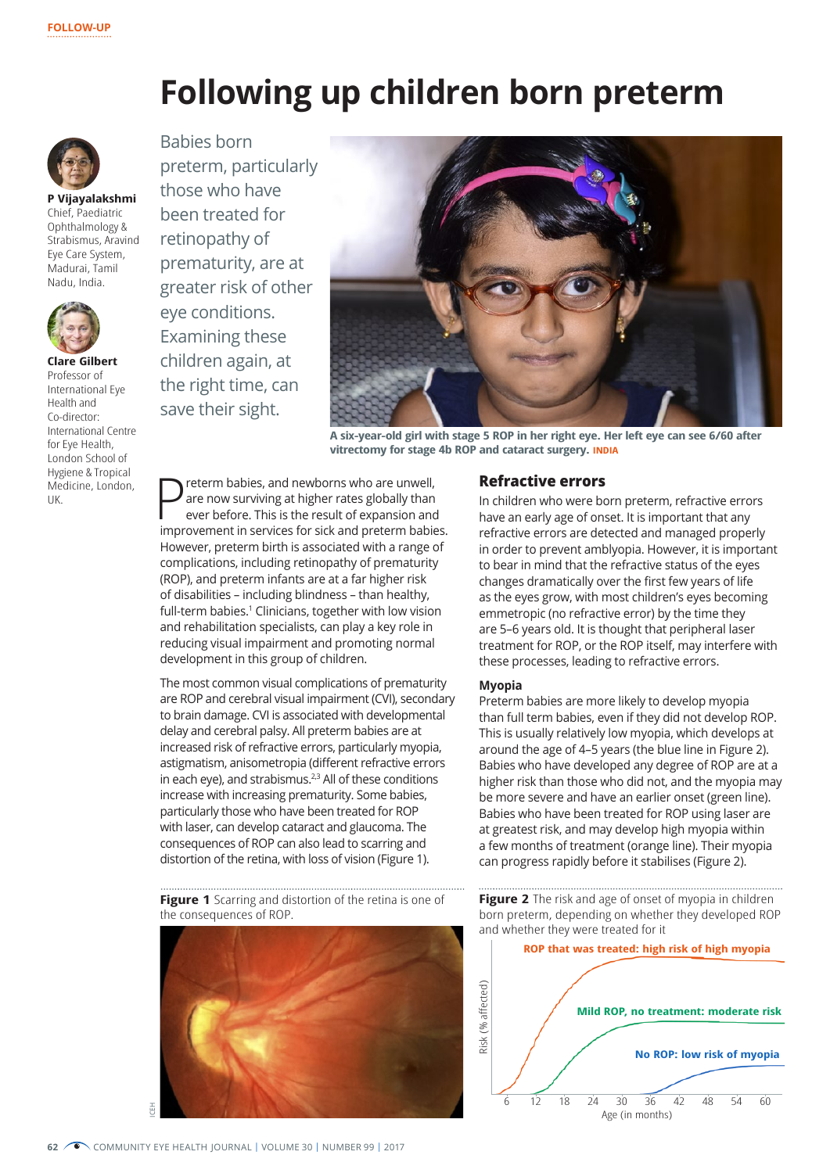# **Following up children born preterm**



**P Vijayalakshmi**  Chief, Paediatric Ophthalmology & Strabismus, Aravind Eye Care System, Madurai, Tamil Nadu, India.



**Clare Gilbert** Professor of International Eye Health and Co-director: International Centre for Eye Health, London School of Hygiene & Tropical Medicine, London, UK.

Babies born preterm, particularly those who have been treated for retinopathy of prematurity, are at greater risk of other eye conditions. Examining these children again, at the right time, can save their sight.



**A six-year-old girl with stage 5 ROP in her right eye. Her left eye can see 6/60 after vitrectomy for stage 4b ROP and cataract surgery. INDIA**

**P** reterm babies, and newborns who are unwell,<br>are now surviving at higher rates globally than<br>ever before. This is the result of expansion and<br>improvement in consider for cick and proterm babies are now surviving at higher rates globally than ever before. This is the result of expansion and improvement in services for sick and preterm babies. However, preterm birth is associated with a range of complications, including retinopathy of prematurity (ROP), and preterm infants are at a far higher risk of disabilities – including blindness – than healthy, full-term babies.<sup>1</sup> Clinicians, together with low vision and rehabilitation specialists, can play a key role in reducing visual impairment and promoting normal development in this group of children.

The most common visual complications of prematurity are ROP and cerebral visual impairment (CVI), secondary to brain damage. CVI is associated with developmental delay and cerebral palsy. All preterm babies are at increased risk of refractive errors, particularly myopia, astigmatism, anisometropia (different refractive errors in each eye), and strabismus.<sup>2,3</sup> All of these conditions increase with increasing prematurity. Some babies, particularly those who have been treated for ROP with laser, can develop cataract and glaucoma. The consequences of ROP can also lead to scarring and distortion of the retina, with loss of vision (Figure 1).

### Figure 1 Scarring and distortion of the retina is one of the consequences of ROP.



## **Refractive errors**

In children who were born preterm, refractive errors have an early age of onset. It is important that any refractive errors are detected and managed properly in order to prevent amblyopia. However, it is important to bear in mind that the refractive status of the eyes changes dramatically over the first few years of life as the eyes grow, with most children's eyes becoming emmetropic (no refractive error) by the time they are 5–6 years old. It is thought that peripheral laser treatment for ROP, or the ROP itself, may interfere with these processes, leading to refractive errors.

#### **Myopia**

Preterm babies are more likely to develop myopia than full term babies, even if they did not develop ROP. This is usually relatively low myopia, which develops at around the age of 4–5 years (the blue line in Figure 2). Babies who have developed any degree of ROP are at a higher risk than those who did not, and the myopia may be more severe and have an earlier onset (green line). Babies who have been treated for ROP using laser are at greatest risk, and may develop high myopia within a few months of treatment (orange line). Their myopia can progress rapidly before it stabilises (Figure 2).

**Figure 2** The risk and age of onset of myopia in children born preterm, depending on whether they developed ROP and whether they were treated for it

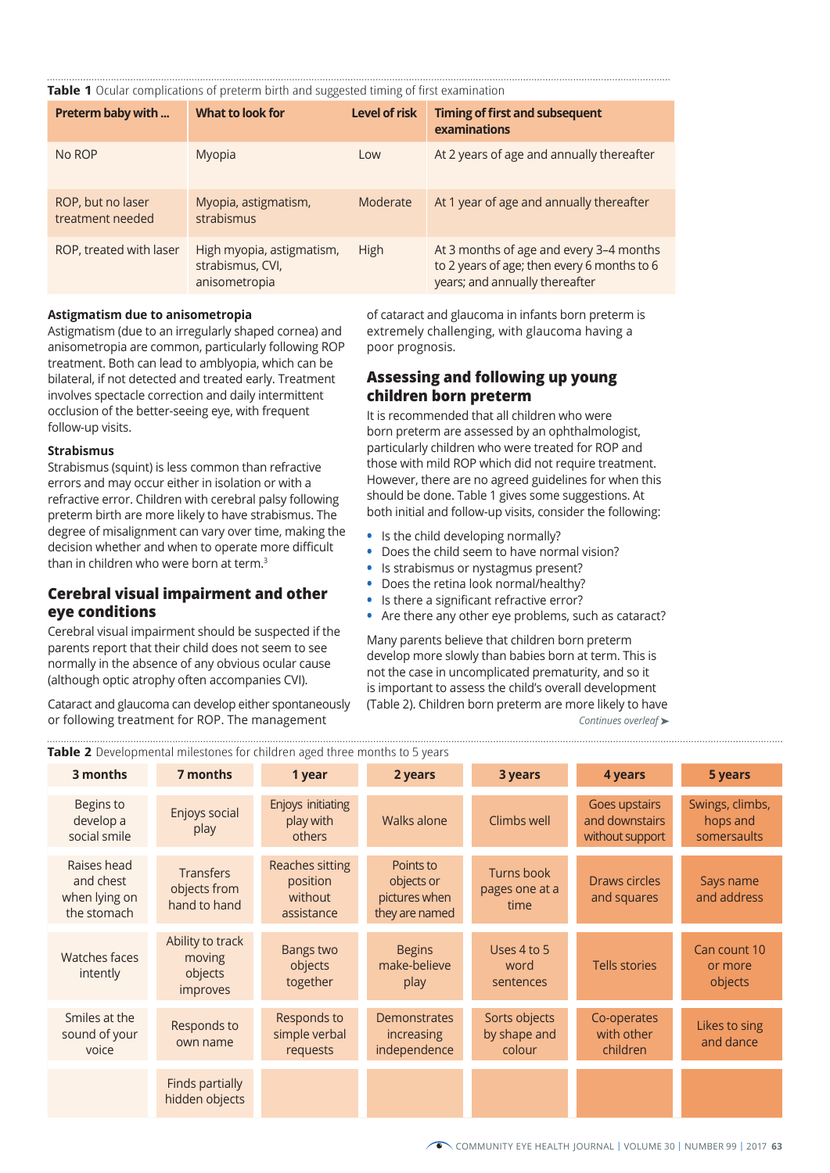| Table 1 Ocular complications of preterm birth and suggested timing of first examination |                                                                |                      |                                                                                                                          |  |  |  |
|-----------------------------------------------------------------------------------------|----------------------------------------------------------------|----------------------|--------------------------------------------------------------------------------------------------------------------------|--|--|--|
| Preterm baby with                                                                       | What to look for                                               | <b>Level of risk</b> | <b>Timing of first and subsequent</b><br>examinations                                                                    |  |  |  |
| No ROP                                                                                  | Myopia                                                         | Low                  | At 2 years of age and annually thereafter                                                                                |  |  |  |
| ROP, but no laser<br>treatment needed                                                   | Myopia, astigmatism,<br>strabismus                             | Moderate             | At 1 year of age and annually thereafter                                                                                 |  |  |  |
| ROP, treated with laser                                                                 | High myopia, astigmatism,<br>strabismus, CVI,<br>anisometropia | <b>High</b>          | At 3 months of age and every 3-4 months<br>to 2 years of age; then every 6 months to 6<br>years; and annually thereafter |  |  |  |

### **Astigmatism due to anisometropia**

Astigmatism (due to an irregularly shaped cornea) and anisometropia are common, particularly following ROP treatment. Both can lead to amblyopia, which can be bilateral, if not detected and treated early. Treatment involves spectacle correction and daily intermittent occlusion of the better-seeing eye, with frequent follow-up visits.

### **Strabismus**

Strabismus (squint) is less common than refractive errors and may occur either in isolation or with a refractive error. Children with cerebral palsy following preterm birth are more likely to have strabismus. The degree of misalignment can vary over time, making the decision whether and when to operate more difficult than in children who were born at term.<sup>3</sup>

## **Cerebral visual impairment and other eye conditions**

Cerebral visual impairment should be suspected if the parents report that their child does not seem to see normally in the absence of any obvious ocular cause (although optic atrophy often accompanies CVI).

Cataract and glaucoma can develop either spontaneously or following treatment for ROP. The management

of cataract and glaucoma in infants born preterm is extremely challenging, with glaucoma having a poor prognosis.

## **Assessing and following up young children born preterm**

It is recommended that all children who were born preterm are assessed by an ophthalmologist, particularly children who were treated for ROP and those with mild ROP which did not require treatment. However, there are no agreed guidelines for when this should be done. Table 1 gives some suggestions. At both initial and follow-up visits, consider the following:

- **•** Is the child developing normally?
- **•** Does the child seem to have normal vision?
- **•** Is strabismus or nystagmus present?
- **•** Does the retina look normal/healthy?
- **•** Is there a significant refractive error?
- **•** Are there any other eye problems, such as cataract?

Many parents believe that children born preterm develop more slowly than babies born at term. This is not the case in uncomplicated prematurity, and so it is important to assess the child's overall development (Table 2). Children born preterm are more likely to have *Continues overleaf* ➤

| 3 months                                                 | 7 months                                                 | 1 year                                                      | 2 years                                                    | 3 years                                 | 4 years                                            | 5 years                                    |
|----------------------------------------------------------|----------------------------------------------------------|-------------------------------------------------------------|------------------------------------------------------------|-----------------------------------------|----------------------------------------------------|--------------------------------------------|
| Begins to<br>develop a<br>social smile                   | Enjoys social<br>play                                    | Enjoys initiating<br>play with<br>others                    | <b>Walks alone</b>                                         | Climbs well                             | Goes upstairs<br>and downstairs<br>without support | Swings, climbs,<br>hops and<br>somersaults |
| Raises head<br>and chest<br>when lying on<br>the stomach | <b>Transfers</b><br>objects from<br>hand to hand         | <b>Reaches sitting</b><br>position<br>without<br>assistance | Points to<br>objects or<br>pictures when<br>they are named | Turns book<br>pages one at a<br>time    | Draws circles<br>and squares                       | Says name<br>and address                   |
| Watches faces<br>intently                                | Ability to track<br>moving<br>objects<br><i>improves</i> | <b>Bangs two</b><br>objects<br>together                     | <b>Begins</b><br>make-believe<br>play                      | Uses 4 to 5<br>word<br>sentences        | <b>Tells stories</b>                               | Can count 10<br>or more<br>objects         |
| Smiles at the<br>sound of your<br>voice                  | Responds to<br>own name                                  | Responds to<br>simple verbal<br>requests                    | <b>Demonstrates</b><br>increasing<br>independence          | Sorts objects<br>by shape and<br>colour | Co-operates<br>with other<br>children              | Likes to sing<br>and dance                 |
|                                                          | Finds partially<br>hidden objects                        |                                                             |                                                            |                                         |                                                    |                                            |

## **Table 2 Developmental milestones for children agencies for children and milestones for children and milestones**<br>Table 9 Developmental milestones for children aged three months to 5 years.